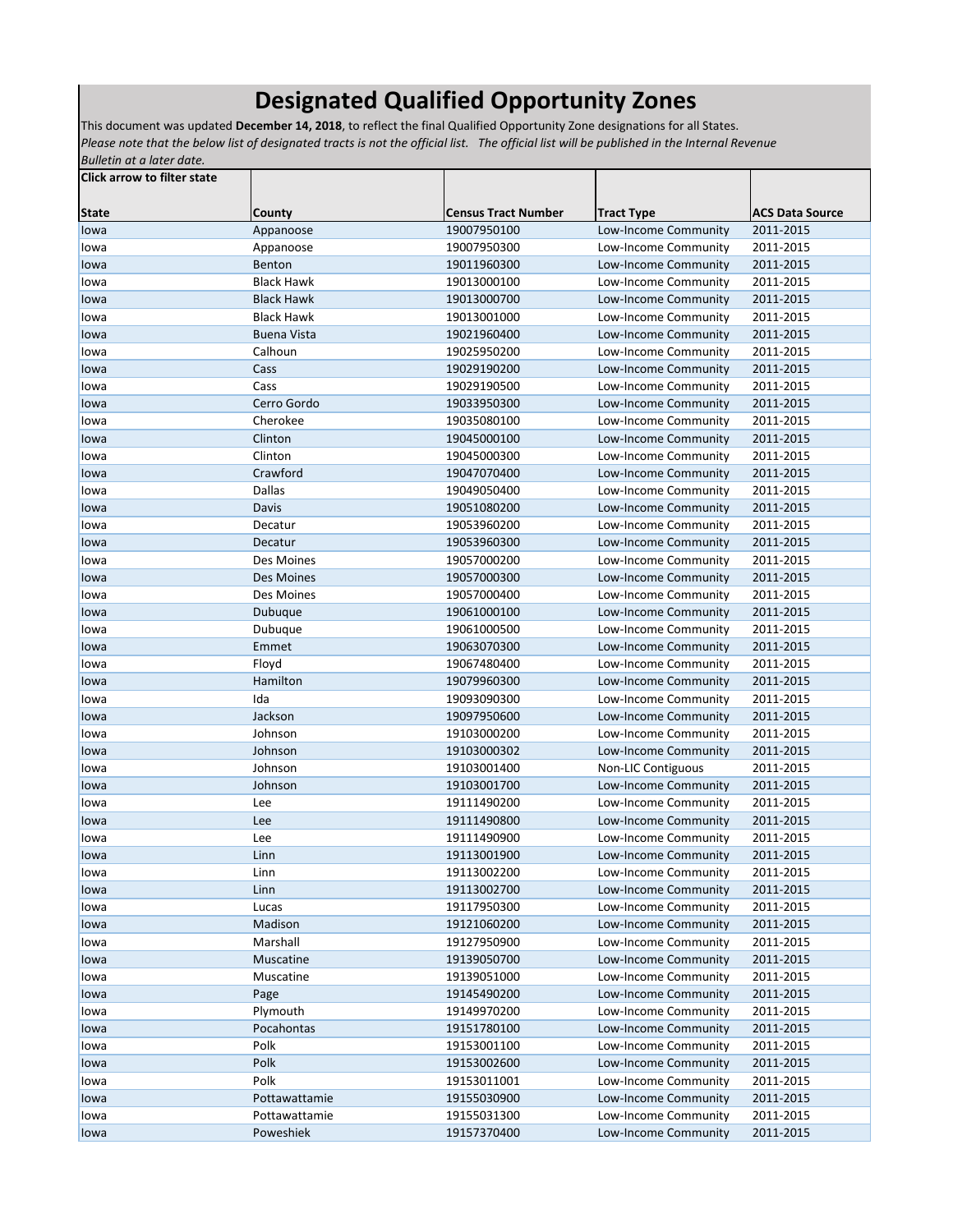## **Designated Qualified Opportunity Zones**

This document was updated **December 14, 2018**, to reflect the final Qualified Opportunity Zone designations for all States. *Please note that the below list of designated tracts is not the official list. The official list will be published in the Internal Revenue Bulletin at a later date.*

| <b>Click arrow to filter state</b> |                    |                            |                           |                        |
|------------------------------------|--------------------|----------------------------|---------------------------|------------------------|
| <b>State</b>                       | <b>County</b>      | <b>Census Tract Number</b> | <b>Tract Type</b>         | <b>ACS Data Source</b> |
| lowa                               | Appanoose          | 19007950100                | Low-Income Community      | 2011-2015              |
| lowa                               | Appanoose          | 19007950300                | Low-Income Community      | 2011-2015              |
| lowa                               | Benton             | 19011960300                | Low-Income Community      | 2011-2015              |
| lowa                               | <b>Black Hawk</b>  | 19013000100                | Low-Income Community      | 2011-2015              |
| lowa                               | <b>Black Hawk</b>  | 19013000700                | Low-Income Community      | 2011-2015              |
| lowa                               | <b>Black Hawk</b>  | 19013001000                | Low-Income Community      | 2011-2015              |
| lowa                               | <b>Buena Vista</b> | 19021960400                | Low-Income Community      | 2011-2015              |
| lowa                               | Calhoun            | 19025950200                | Low-Income Community      | 2011-2015              |
| lowa                               | Cass               | 19029190200                | Low-Income Community      | 2011-2015              |
| lowa                               | Cass               | 19029190500                | Low-Income Community      | 2011-2015              |
| lowa                               | Cerro Gordo        | 19033950300                | Low-Income Community      | 2011-2015              |
| lowa                               | Cherokee           | 19035080100                | Low-Income Community      | 2011-2015              |
| lowa                               | Clinton            | 19045000100                | Low-Income Community      | 2011-2015              |
| lowa                               | Clinton            | 19045000300                | Low-Income Community      | 2011-2015              |
| lowa                               | Crawford           | 19047070400                | Low-Income Community      | 2011-2015              |
| lowa                               | <b>Dallas</b>      | 19049050400                | Low-Income Community      | 2011-2015              |
| lowa                               | Davis              | 19051080200                | Low-Income Community      | 2011-2015              |
| lowa                               | Decatur            | 19053960200                | Low-Income Community      | 2011-2015              |
| lowa                               | Decatur            | 19053960300                | Low-Income Community      | 2011-2015              |
| lowa                               | Des Moines         | 19057000200                | Low-Income Community      | 2011-2015              |
| lowa                               | Des Moines         | 19057000300                | Low-Income Community      | 2011-2015              |
| lowa                               | Des Moines         | 19057000400                | Low-Income Community      | 2011-2015              |
| lowa                               | Dubuque            | 19061000100                | Low-Income Community      | 2011-2015              |
| lowa                               | Dubuque            | 19061000500                | Low-Income Community      | 2011-2015              |
| lowa                               | Emmet              | 19063070300                | Low-Income Community      | 2011-2015              |
| lowa                               | Floyd              | 19067480400                | Low-Income Community      | 2011-2015              |
| lowa                               | Hamilton           | 19079960300                | Low-Income Community      | 2011-2015              |
| lowa                               | Ida                | 19093090300                | Low-Income Community      | 2011-2015              |
| lowa                               | Jackson            | 19097950600                | Low-Income Community      | 2011-2015              |
| lowa                               | Johnson            | 19103000200                | Low-Income Community      | 2011-2015              |
| lowa                               | Johnson            | 19103000302                | Low-Income Community      | 2011-2015              |
| lowa                               | Johnson            | 19103001400                | <b>Non-LIC Contiguous</b> | 2011-2015              |
| lowa                               | Johnson            | 19103001700                | Low-Income Community      | 2011-2015              |
| lowa                               | Lee                | 19111490200                | Low-Income Community      | 2011-2015              |
| lowa                               | Lee                | 19111490800                | Low-Income Community      | 2011-2015              |
| lowa                               | Lee                | 19111490900                | Low-Income Community      | 2011-2015              |
| lowa                               | Linn               | 19113001900                | Low-Income Community      | 2011-2015              |
| lowa                               | Linn               | 19113002200                | Low-Income Community      | 2011-2015              |
| lowa                               | Linn               | 19113002700                | Low-Income Community      | 2011-2015              |
| lowa                               | Lucas              | 19117950300                | Low-Income Community      | 2011-2015              |
| lowa                               | Madison            | 19121060200                | Low-Income Community      | 2011-2015              |
| lowa                               | Marshall           | 19127950900                | Low-Income Community      | 2011-2015              |
| lowa                               | Muscatine          | 19139050700                | Low-Income Community      | 2011-2015              |
| lowa                               | Muscatine          | 19139051000                | Low-Income Community      | 2011-2015              |
| lowa                               | Page               | 19145490200                | Low-Income Community      | 2011-2015              |
| lowa                               | Plymouth           | 19149970200                | Low-Income Community      | 2011-2015              |
| lowa                               | Pocahontas         | 19151780100                | Low-Income Community      | 2011-2015              |
| lowa                               | Polk               | 19153001100                | Low-Income Community      | 2011-2015              |
| lowa                               | Polk               | 19153002600                | Low-Income Community      | 2011-2015              |
| lowa                               | Polk               | 19153011001                | Low-Income Community      | 2011-2015              |
| lowa                               | Pottawattamie      | 19155030900                | Low-Income Community      | 2011-2015              |
| lowa                               | Pottawattamie      | 19155031300                | Low-Income Community      | 2011-2015              |
| lowa                               | Poweshiek          | 19157370400                | Low-Income Community      | 2011-2015              |